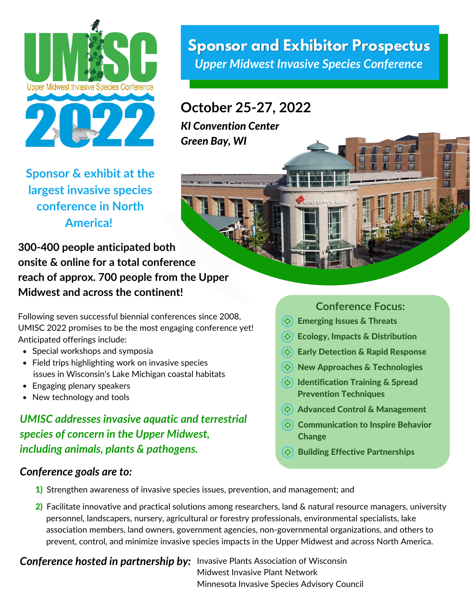

**Sponsor and Exhibitor Prospectus** *Upper Midwest Invasive Species Conference*

CORVERTION CENTE

# **October 25-27, 2022**

*KI Convention Center Green Bay, WI*

**Sponsor & exhibit at the largest invasive species conference in North America!**

**300-400 people anticipated both onsite & online for a total conference reach of approx. 700 people from the Upper Midwest and across the continent!**

Following seven successful biennial conferences since 2008, UMISC 2022 promises to be the most engaging conference yet! Anticipated offerings include:

- Special workshops and symposia
- Field trips highlighting work on invasive species issues in Wisconsin's Lake Michigan coastal habitats
- Engaging plenary speakers
- New technology and tools

# *UMISC addresses invasive aquatic and terrestrial species of concern in the Upper Midwest, including animals, plants & pathogens.*

### *Conference goals are to:*

#### **Conference Focus:**

T İ.

- $\bigoplus$  Emerging Issues & Threats
- $\Theta$  Ecology, Impacts & Distribution
- $\left(\diamondsuit\right)$  Early Detection & Rapid Response
- $\Theta$  New Approaches & Technologies
- $\Theta$  Identification Training & Spread Prevention Techniques
- $\left(\Leftrightarrow\right)$  Advanced Control & Management
- $\Theta$  Communication to Inspire Behavior Change
- Building Effective Partnerships
- 1) Strengthen awareness of invasive species issues, prevention, and management; and
- 2) Facilitate innovative and practical solutions among researchers, land & natural resource managers, university personnel, landscapers, nursery, agricultural or forestry professionals, environmental specialists, lake association members, land owners, government agencies, non-governmental organizations, and others to prevent, control, and minimize invasive species impacts in the Upper Midwest and across North America.

**Conference hosted in partnership by:** Invasive Plants Association of Wisconsin

Midwest Invasive Plant Network Minnesota Invasive Species Advisory Council